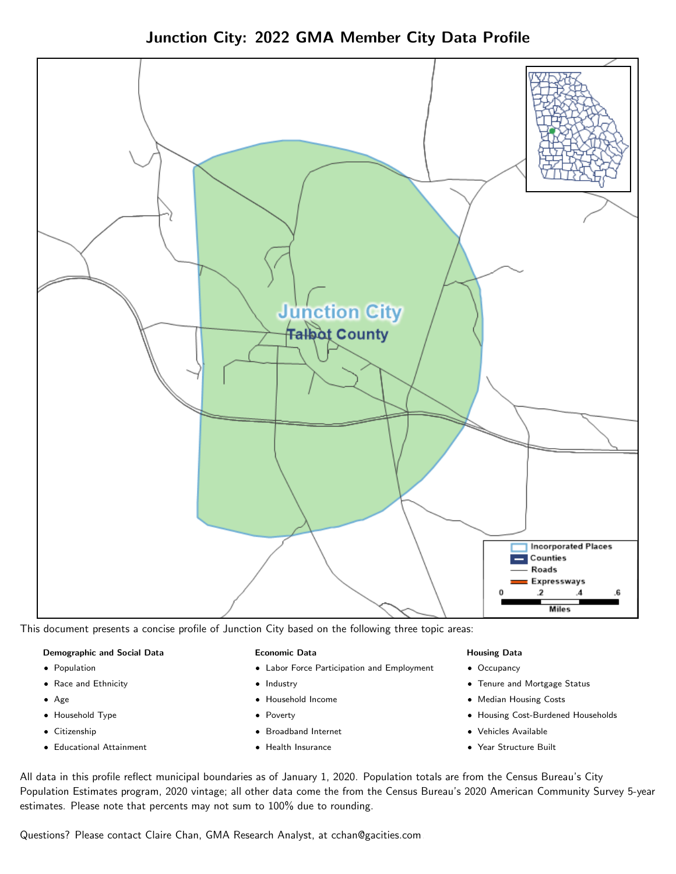Junction City: 2022 GMA Member City Data Profile



This document presents a concise profile of Junction City based on the following three topic areas:

#### Demographic and Social Data

- **•** Population
- Race and Ethnicity
- Age
- Household Type
- **Citizenship**
- Educational Attainment

#### Economic Data

- Labor Force Participation and Employment
- Industry
- Household Income
- Poverty
- Broadband Internet
- Health Insurance

#### Housing Data

- Occupancy
- Tenure and Mortgage Status
- Median Housing Costs
- Housing Cost-Burdened Households
- Vehicles Available
- Year Structure Built

All data in this profile reflect municipal boundaries as of January 1, 2020. Population totals are from the Census Bureau's City Population Estimates program, 2020 vintage; all other data come the from the Census Bureau's 2020 American Community Survey 5-year estimates. Please note that percents may not sum to 100% due to rounding.

Questions? Please contact Claire Chan, GMA Research Analyst, at [cchan@gacities.com.](mailto:cchan@gacities.com)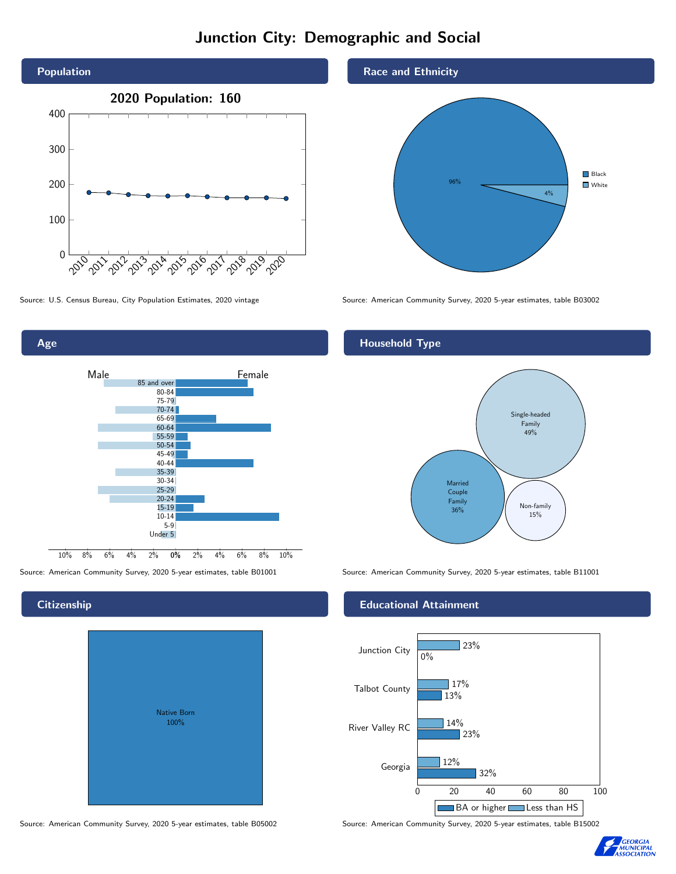# Junction City: Demographic and Social





**Citizenship** 

# Native Born 100%

Source: American Community Survey, 2020 5-year estimates, table B05002 Source: American Community Survey, 2020 5-year estimates, table B15002

Race and Ethnicity



Source: U.S. Census Bureau, City Population Estimates, 2020 vintage Source: American Community Survey, 2020 5-year estimates, table B03002

#### Household Type



Source: American Community Survey, 2020 5-year estimates, table B01001 Source: American Community Survey, 2020 5-year estimates, table B11001

#### Educational Attainment



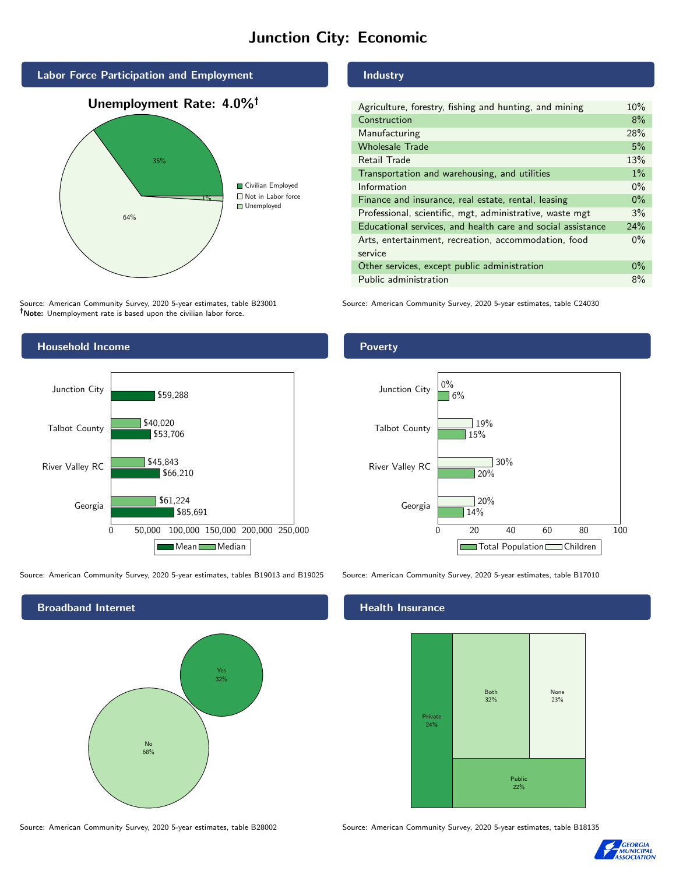# Junction City: Economic



Source: American Community Survey, 2020 5-year estimates, table B23001 Note: Unemployment rate is based upon the civilian labor force.

#### Industry

| Agriculture, forestry, fishing and hunting, and mining      | 10%   |
|-------------------------------------------------------------|-------|
| Construction                                                | 8%    |
| Manufacturing                                               | 28%   |
| <b>Wholesale Trade</b>                                      | 5%    |
| Retail Trade                                                | 13%   |
| Transportation and warehousing, and utilities               | $1\%$ |
| Information                                                 | $0\%$ |
| Finance and insurance, real estate, rental, leasing         | $0\%$ |
| Professional, scientific, mgt, administrative, waste mgt    | 3%    |
| Educational services, and health care and social assistance | 24%   |
| Arts, entertainment, recreation, accommodation, food        | $0\%$ |
| service                                                     |       |
| Other services, except public administration                | $0\%$ |
| Public administration                                       | 8%    |

Source: American Community Survey, 2020 5-year estimates, table C24030



Source: American Community Survey, 2020 5-year estimates, tables B19013 and B19025 Source: American Community Survey, 2020 5-year estimates, table B17010

Broadband Internet No 68% Yes 32%

#### Health Insurance





Source: American Community Survey, 2020 5-year estimates, table B28002 Source: American Community Survey, 2020 5-year estimates, table B18135